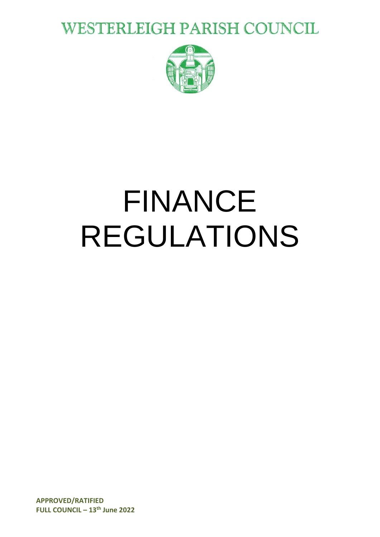**WESTERLEIGH PARISH COUNCIL** 



# FINANCE REGULATIONS

**APPROVED/RATIFIED FULL COUNCIL – 13 th June 2022**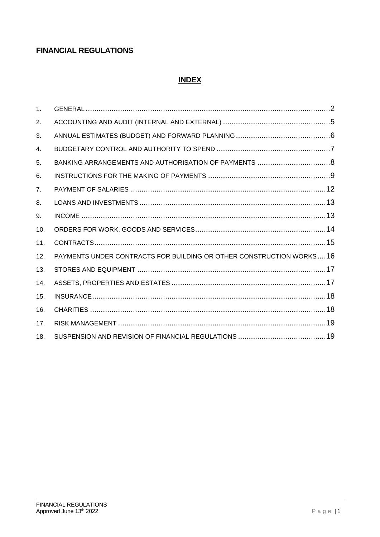### **FINANCIAL REGULATIONS**

#### **INDEX**

| 1 <sub>1</sub> |                                                                     |  |
|----------------|---------------------------------------------------------------------|--|
| 2.             |                                                                     |  |
| 3.             |                                                                     |  |
| 4.             |                                                                     |  |
| 5.             |                                                                     |  |
| 6.             |                                                                     |  |
| 7 <sub>1</sub> |                                                                     |  |
| 8.             |                                                                     |  |
| 9.             |                                                                     |  |
| 10.            |                                                                     |  |
| 11.            |                                                                     |  |
| 12.            | PAYMENTS UNDER CONTRACTS FOR BUILDING OR OTHER CONSTRUCTION WORKS16 |  |
| 13.            |                                                                     |  |
| 14.            |                                                                     |  |
| 15.            |                                                                     |  |
| 16.            |                                                                     |  |
| 17.            |                                                                     |  |
| 18.            |                                                                     |  |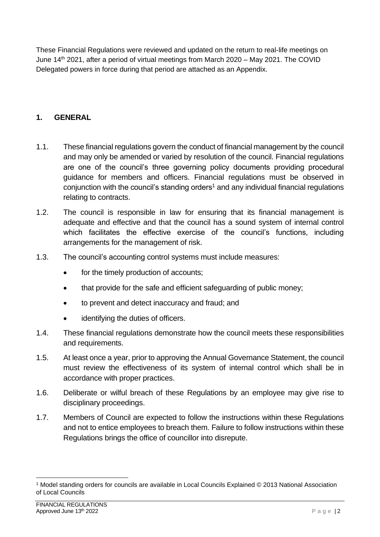These Financial Regulations were reviewed and updated on the return to real-life meetings on June 14<sup>th</sup> 2021, after a period of virtual meetings from March 2020 – May 2021. The COVID Delegated powers in force during that period are attached as an Appendix.

#### <span id="page-2-0"></span>**1. GENERAL**

- 1.1. These financial regulations govern the conduct of financial management by the council and may only be amended or varied by resolution of the council. Financial regulations are one of the council's three governing policy documents providing procedural guidance for members and officers. Financial regulations must be observed in conjunction with the council's standing orders<sup>1</sup> and any individual financial regulations relating to contracts.
- 1.2. The council is responsible in law for ensuring that its financial management is adequate and effective and that the council has a sound system of internal control which facilitates the effective exercise of the council's functions, including arrangements for the management of risk.
- 1.3. The council's accounting control systems must include measures:
	- for the timely production of accounts;
	- that provide for the safe and efficient safeguarding of public money;
	- to prevent and detect inaccuracy and fraud; and
	- identifying the duties of officers.
- 1.4. These financial regulations demonstrate how the council meets these responsibilities and requirements.
- 1.5. At least once a year, prior to approving the Annual Governance Statement, the council must review the effectiveness of its system of internal control which shall be in accordance with proper practices.
- 1.6. Deliberate or wilful breach of these Regulations by an employee may give rise to disciplinary proceedings.
- 1.7. Members of Council are expected to follow the instructions within these Regulations and not to entice employees to breach them. Failure to follow instructions within these Regulations brings the office of councillor into disrepute.

<sup>1</sup> Model standing orders for councils are available in Local Councils Explained © 2013 National Association of Local Councils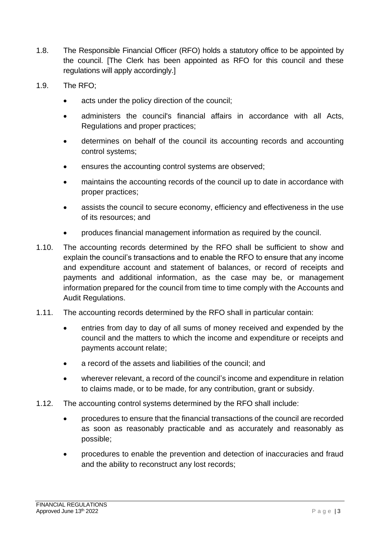- 1.8. The Responsible Financial Officer (RFO) holds a statutory office to be appointed by the council. [The Clerk has been appointed as RFO for this council and these regulations will apply accordingly.]
- 1.9. The RFO;
	- acts under the policy direction of the council;
	- administers the council's financial affairs in accordance with all Acts, Regulations and proper practices;
	- determines on behalf of the council its accounting records and accounting control systems;
	- ensures the accounting control systems are observed;
	- maintains the accounting records of the council up to date in accordance with proper practices;
	- assists the council to secure economy, efficiency and effectiveness in the use of its resources; and
	- produces financial management information as required by the council.
- 1.10. The accounting records determined by the RFO shall be sufficient to show and explain the council's transactions and to enable the RFO to ensure that any income and expenditure account and statement of balances, or record of receipts and payments and additional information, as the case may be, or management information prepared for the council from time to time comply with the Accounts and Audit Regulations.
- 1.11. The accounting records determined by the RFO shall in particular contain:
	- entries from day to day of all sums of money received and expended by the council and the matters to which the income and expenditure or receipts and payments account relate;
	- a record of the assets and liabilities of the council; and
	- wherever relevant, a record of the council's income and expenditure in relation to claims made, or to be made, for any contribution, grant or subsidy.
- 1.12. The accounting control systems determined by the RFO shall include:
	- procedures to ensure that the financial transactions of the council are recorded as soon as reasonably practicable and as accurately and reasonably as possible;
	- procedures to enable the prevention and detection of inaccuracies and fraud and the ability to reconstruct any lost records;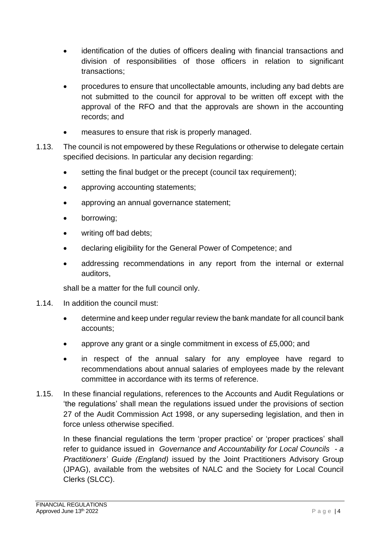- identification of the duties of officers dealing with financial transactions and division of responsibilities of those officers in relation to significant transactions;
- procedures to ensure that uncollectable amounts, including any bad debts are not submitted to the council for approval to be written off except with the approval of the RFO and that the approvals are shown in the accounting records; and
- measures to ensure that risk is properly managed.
- 1.13. The council is not empowered by these Regulations or otherwise to delegate certain specified decisions. In particular any decision regarding:
	- setting the final budget or the precept (council tax requirement);
	- approving accounting statements;
	- approving an annual governance statement;
	- borrowing;
	- writing off bad debts;
	- declaring eligibility for the General Power of Competence; and
	- addressing recommendations in any report from the internal or external auditors,

shall be a matter for the full council only.

- 1.14. In addition the council must:
	- determine and keep under regular review the bank mandate for all council bank accounts;
	- approve any grant or a single commitment in excess of £5,000; and
	- in respect of the annual salary for any employee have regard to recommendations about annual salaries of employees made by the relevant committee in accordance with its terms of reference.
- 1.15. In these financial regulations, references to the Accounts and Audit Regulations or 'the regulations' shall mean the regulations issued under the provisions of section 27 of the Audit Commission Act 1998, or any superseding legislation, and then in force unless otherwise specified.

<span id="page-4-0"></span>In these financial regulations the term 'proper practice' or 'proper practices' shall refer to guidance issued in *Governance and Accountability for Local Councils - a Practitioners' Guide (England)* issued by the Joint Practitioners Advisory Group (JPAG), available from the websites of NALC and the Society for Local Council Clerks (SLCC).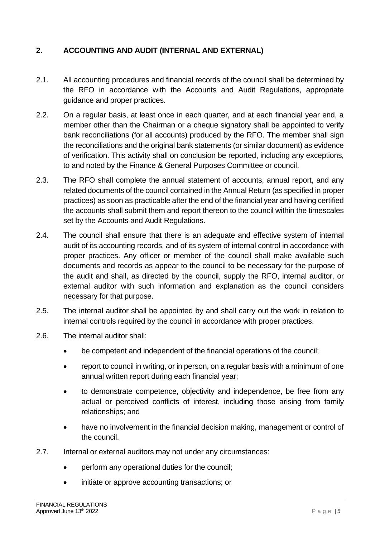#### **2. ACCOUNTING AND AUDIT (INTERNAL AND EXTERNAL)**

- 2.1. All accounting procedures and financial records of the council shall be determined by the RFO in accordance with the Accounts and Audit Regulations, appropriate guidance and proper practices.
- 2.2. On a regular basis, at least once in each quarter, and at each financial year end, a member other than the Chairman or a cheque signatory shall be appointed to verify bank reconciliations (for all accounts) produced by the RFO. The member shall sign the reconciliations and the original bank statements (or similar document) as evidence of verification. This activity shall on conclusion be reported, including any exceptions, to and noted by the Finance & General Purposes Committee or council.
- 2.3. The RFO shall complete the annual statement of accounts, annual report, and any related documents of the council contained in the Annual Return (as specified in proper practices) as soon as practicable after the end of the financial year and having certified the accounts shall submit them and report thereon to the council within the timescales set by the Accounts and Audit Regulations.
- 2.4. The council shall ensure that there is an adequate and effective system of internal audit of its accounting records, and of its system of internal control in accordance with proper practices. Any officer or member of the council shall make available such documents and records as appear to the council to be necessary for the purpose of the audit and shall, as directed by the council, supply the RFO, internal auditor, or external auditor with such information and explanation as the council considers necessary for that purpose.
- 2.5. The internal auditor shall be appointed by and shall carry out the work in relation to internal controls required by the council in accordance with proper practices.
- 2.6. The internal auditor shall:
	- be competent and independent of the financial operations of the council;
	- report to council in writing, or in person, on a regular basis with a minimum of one annual written report during each financial year;
	- to demonstrate competence, objectivity and independence, be free from any actual or perceived conflicts of interest, including those arising from family relationships; and
	- have no involvement in the financial decision making, management or control of the council.
- 2.7. Internal or external auditors may not under any circumstances:
	- perform any operational duties for the council:
	- initiate or approve accounting transactions; or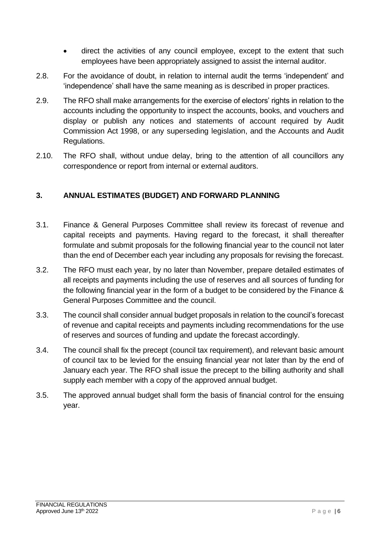- direct the activities of any council employee, except to the extent that such employees have been appropriately assigned to assist the internal auditor.
- 2.8. For the avoidance of doubt, in relation to internal audit the terms 'independent' and 'independence' shall have the same meaning as is described in proper practices.
- 2.9. The RFO shall make arrangements for the exercise of electors' rights in relation to the accounts including the opportunity to inspect the accounts, books, and vouchers and display or publish any notices and statements of account required by Audit Commission Act 1998, or any superseding legislation, and the Accounts and Audit Regulations.
- 2.10. The RFO shall, without undue delay, bring to the attention of all councillors any correspondence or report from internal or external auditors.

#### <span id="page-6-0"></span>**3. ANNUAL ESTIMATES (BUDGET) AND FORWARD PLANNING**

- 3.1. Finance & General Purposes Committee shall review its forecast of revenue and capital receipts and payments. Having regard to the forecast, it shall thereafter formulate and submit proposals for the following financial year to the council not later than the end of December each year including any proposals for revising the forecast.
- 3.2. The RFO must each year, by no later than November, prepare detailed estimates of all receipts and payments including the use of reserves and all sources of funding for the following financial year in the form of a budget to be considered by the Finance & General Purposes Committee and the council.
- 3.3. The council shall consider annual budget proposals in relation to the council's forecast of revenue and capital receipts and payments including recommendations for the use of reserves and sources of funding and update the forecast accordingly.
- 3.4. The council shall fix the precept (council tax requirement), and relevant basic amount of council tax to be levied for the ensuing financial year not later than by the end of January each year. The RFO shall issue the precept to the billing authority and shall supply each member with a copy of the approved annual budget.
- <span id="page-6-1"></span>3.5. The approved annual budget shall form the basis of financial control for the ensuing year.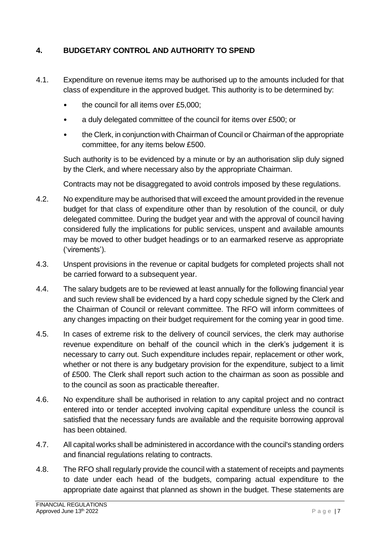#### **4. BUDGETARY CONTROL AND AUTHORITY TO SPEND**

- 4.1. Expenditure on revenue items may be authorised up to the amounts included for that class of expenditure in the approved budget. This authority is to be determined by:
	- the council for all items over £5,000;
	- a duly delegated committee of the council for items over £500; or
	- the Clerk, in conjunction with Chairman of Council or Chairman of the appropriate committee, for any items below £500.

Such authority is to be evidenced by a minute or by an authorisation slip duly signed by the Clerk, and where necessary also by the appropriate Chairman.

Contracts may not be disaggregated to avoid controls imposed by these regulations.

- 4.2. No expenditure may be authorised that will exceed the amount provided in the revenue budget for that class of expenditure other than by resolution of the council, or duly delegated committee. During the budget year and with the approval of council having considered fully the implications for public services, unspent and available amounts may be moved to other budget headings or to an earmarked reserve as appropriate ('virements').
- 4.3. Unspent provisions in the revenue or capital budgets for completed projects shall not be carried forward to a subsequent year.
- 4.4. The salary budgets are to be reviewed at least annually for the following financial year and such review shall be evidenced by a hard copy schedule signed by the Clerk and the Chairman of Council or relevant committee. The RFO will inform committees of any changes impacting on their budget requirement for the coming year in good time.
- 4.5. In cases of extreme risk to the delivery of council services, the clerk may authorise revenue expenditure on behalf of the council which in the clerk's judgement it is necessary to carry out. Such expenditure includes repair, replacement or other work, whether or not there is any budgetary provision for the expenditure, subject to a limit of £500. The Clerk shall report such action to the chairman as soon as possible and to the council as soon as practicable thereafter.
- 4.6. No expenditure shall be authorised in relation to any capital project and no contract entered into or tender accepted involving capital expenditure unless the council is satisfied that the necessary funds are available and the requisite borrowing approval has been obtained.
- 4.7. All capital works shall be administered in accordance with the council's standing orders and financial regulations relating to contracts.
- 4.8. The RFO shall regularly provide the council with a statement of receipts and payments to date under each head of the budgets, comparing actual expenditure to the appropriate date against that planned as shown in the budget. These statements are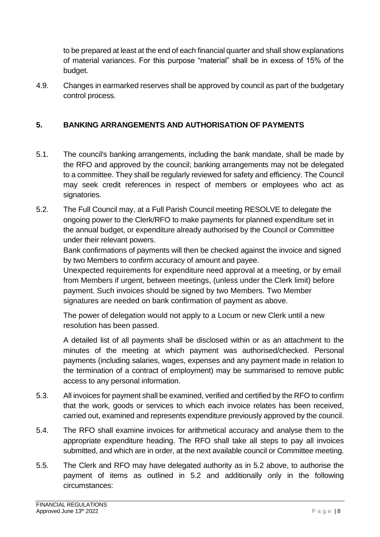to be prepared at least at the end of each financial quarter and shall show explanations of material variances. For this purpose "material" shall be in excess of 15% of the budget.

4.9. Changes in earmarked reserves shall be approved by council as part of the budgetary control process.

#### <span id="page-8-0"></span>**5. BANKING ARRANGEMENTS AND AUTHORISATION OF PAYMENTS**

- 5.1. The council's banking arrangements, including the bank mandate, shall be made by the RFO and approved by the council; banking arrangements may not be delegated to a committee. They shall be regularly reviewed for safety and efficiency. The Council may seek credit references in respect of members or employees who act as signatories.
- 5.2. The Full Council may, at a Full Parish Council meeting RESOLVE to delegate the ongoing power to the Clerk/RFO to make payments for planned expenditure set in the annual budget, or expenditure already authorised by the Council or Committee under their relevant powers.

Bank confirmations of payments will then be checked against the invoice and signed by two Members to confirm accuracy of amount and payee.

Unexpected requirements for expenditure need approval at a meeting, or by email from Members if urgent, between meetings, (unless under the Clerk limit) before payment. Such invoices should be signed by two Members. Two Member signatures are needed on bank confirmation of payment as above.

The power of delegation would not apply to a Locum or new Clerk until a new resolution has been passed.

A detailed list of all payments shall be disclosed within or as an attachment to the minutes of the meeting at which payment was authorised/checked. Personal payments (including salaries, wages, expenses and any payment made in relation to the termination of a contract of employment) may be summarised to remove public access to any personal information.

- 5.3. All invoices for payment shall be examined, verified and certified by the RFO to confirm that the work, goods or services to which each invoice relates has been received, carried out, examined and represents expenditure previously approved by the council.
- 5.4. The RFO shall examine invoices for arithmetical accuracy and analyse them to the appropriate expenditure heading. The RFO shall take all steps to pay all invoices submitted, and which are in order, at the next available council or Committee meeting.
- 5.5. The Clerk and RFO may have delegated authority as in 5.2 above, to authorise the payment of items as outlined in 5.2 and additionally only in the following circumstances: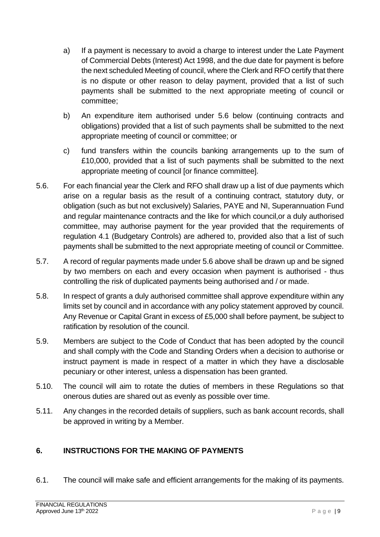- a) If a payment is necessary to avoid a charge to interest under the Late Payment of Commercial Debts (Interest) Act 1998, and the due date for payment is before the next scheduled Meeting of council, where the Clerk and RFO certify that there is no dispute or other reason to delay payment, provided that a list of such payments shall be submitted to the next appropriate meeting of council or committee;
- b) An expenditure item authorised under 5.6 below (continuing contracts and obligations) provided that a list of such payments shall be submitted to the next appropriate meeting of council or committee; or
- c) fund transfers within the councils banking arrangements up to the sum of £10,000, provided that a list of such payments shall be submitted to the next appropriate meeting of council [or finance committee].
- 5.6. For each financial year the Clerk and RFO shall draw up a list of due payments which arise on a regular basis as the result of a continuing contract, statutory duty, or obligation (such as but not exclusively) Salaries, PAYE and NI, Superannuation Fund and regular maintenance contracts and the like for which council,or a duly authorised committee, may authorise payment for the year provided that the requirements of regulation 4.1 (Budgetary Controls) are adhered to, provided also that a list of such payments shall be submitted to the next appropriate meeting of council or Committee.
- 5.7. A record of regular payments made under 5.6 above shall be drawn up and be signed by two members on each and every occasion when payment is authorised - thus controlling the risk of duplicated payments being authorised and / or made.
- 5.8. In respect of grants a duly authorised committee shall approve expenditure within any limits set by council and in accordance with any policy statement approved by council. Any Revenue or Capital Grant in excess of £5,000 shall before payment, be subject to ratification by resolution of the council.
- 5.9. Members are subject to the Code of Conduct that has been adopted by the council and shall comply with the Code and Standing Orders when a decision to authorise or instruct payment is made in respect of a matter in which they have a disclosable pecuniary or other interest, unless a dispensation has been granted.
- 5.10. The council will aim to rotate the duties of members in these Regulations so that onerous duties are shared out as evenly as possible over time.
- 5.11. Any changes in the recorded details of suppliers, such as bank account records, shall be approved in writing by a Member.

#### <span id="page-9-0"></span>**6. INSTRUCTIONS FOR THE MAKING OF PAYMENTS**

6.1. The council will make safe and efficient arrangements for the making of its payments.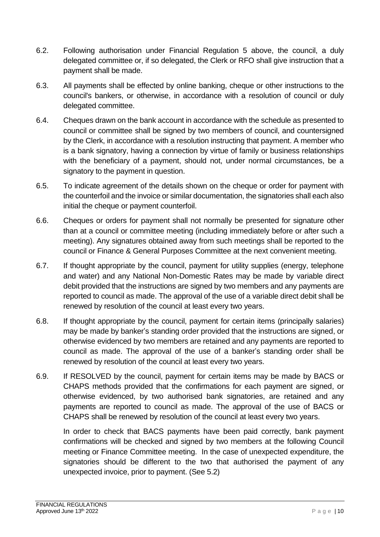- 6.2. Following authorisation under Financial Regulation 5 above, the council, a duly delegated committee or, if so delegated, the Clerk or RFO shall give instruction that a payment shall be made.
- 6.3. All payments shall be effected by online banking, cheque or other instructions to the council's bankers, or otherwise, in accordance with a resolution of council or duly delegated committee.
- 6.4. Cheques drawn on the bank account in accordance with the schedule as presented to council or committee shall be signed by two members of council, and countersigned by the Clerk, in accordance with a resolution instructing that payment. A member who is a bank signatory, having a connection by virtue of family or business relationships with the beneficiary of a payment, should not, under normal circumstances, be a signatory to the payment in question.
- 6.5. To indicate agreement of the details shown on the cheque or order for payment with the counterfoil and the invoice or similar documentation, the signatories shall each also initial the cheque or payment counterfoil.
- 6.6. Cheques or orders for payment shall not normally be presented for signature other than at a council or committee meeting (including immediately before or after such a meeting). Any signatures obtained away from such meetings shall be reported to the council or Finance & General Purposes Committee at the next convenient meeting.
- 6.7. If thought appropriate by the council, payment for utility supplies (energy, telephone and water) and any National Non-Domestic Rates may be made by variable direct debit provided that the instructions are signed by two members and any payments are reported to council as made. The approval of the use of a variable direct debit shall be renewed by resolution of the council at least every two years.
- 6.8. If thought appropriate by the council, payment for certain items (principally salaries) may be made by banker's standing order provided that the instructions are signed, or otherwise evidenced by two members are retained and any payments are reported to council as made. The approval of the use of a banker's standing order shall be renewed by resolution of the council at least every two years.
- 6.9. If RESOLVED by the council, payment for certain items may be made by BACS or CHAPS methods provided that the confirmations for each payment are signed, or otherwise evidenced, by two authorised bank signatories, are retained and any payments are reported to council as made. The approval of the use of BACS or CHAPS shall be renewed by resolution of the council at least every two years.

In order to check that BACS payments have been paid correctly, bank payment confirmations will be checked and signed by two members at the following Council meeting or Finance Committee meeting. In the case of unexpected expenditure, the signatories should be different to the two that authorised the payment of any unexpected invoice, prior to payment. (See 5.2)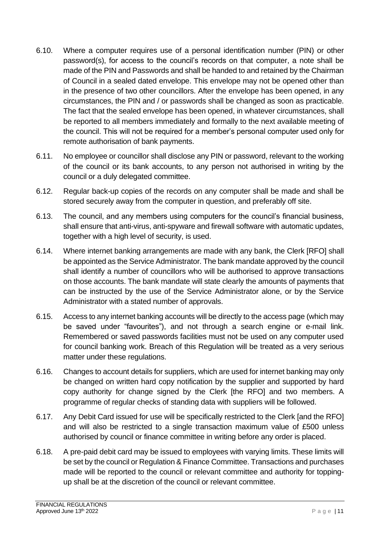- 6.10. Where a computer requires use of a personal identification number (PIN) or other password(s), for access to the council's records on that computer, a note shall be made of the PIN and Passwords and shall be handed to and retained by the Chairman of Council in a sealed dated envelope. This envelope may not be opened other than in the presence of two other councillors. After the envelope has been opened, in any circumstances, the PIN and / or passwords shall be changed as soon as practicable. The fact that the sealed envelope has been opened, in whatever circumstances, shall be reported to all members immediately and formally to the next available meeting of the council. This will not be required for a member's personal computer used only for remote authorisation of bank payments.
- 6.11. No employee or councillor shall disclose any PIN or password, relevant to the working of the council or its bank accounts, to any person not authorised in writing by the council or a duly delegated committee.
- 6.12. Regular back-up copies of the records on any computer shall be made and shall be stored securely away from the computer in question, and preferably off site.
- 6.13. The council, and any members using computers for the council's financial business, shall ensure that anti-virus, anti-spyware and firewall software with automatic updates, together with a high level of security, is used.
- 6.14. Where internet banking arrangements are made with any bank, the Clerk [RFO] shall be appointed as the Service Administrator. The bank mandate approved by the council shall identify a number of councillors who will be authorised to approve transactions on those accounts. The bank mandate will state clearly the amounts of payments that can be instructed by the use of the Service Administrator alone, or by the Service Administrator with a stated number of approvals.
- 6.15. Access to any internet banking accounts will be directly to the access page (which may be saved under "favourites"), and not through a search engine or e-mail link. Remembered or saved passwords facilities must not be used on any computer used for council banking work. Breach of this Regulation will be treated as a very serious matter under these regulations.
- 6.16. Changes to account details for suppliers, which are used for internet banking may only be changed on written hard copy notification by the supplier and supported by hard copy authority for change signed by the Clerk [the RFO] and two members. A programme of regular checks of standing data with suppliers will be followed.
- 6.17. Any Debit Card issued for use will be specifically restricted to the Clerk [and the RFO] and will also be restricted to a single transaction maximum value of £500 unless authorised by council or finance committee in writing before any order is placed.
- 6.18. A pre-paid debit card may be issued to employees with varying limits. These limits will be set by the council or Regulation & Finance Committee. Transactions and purchases made will be reported to the council or relevant committee and authority for toppingup shall be at the discretion of the council or relevant committee.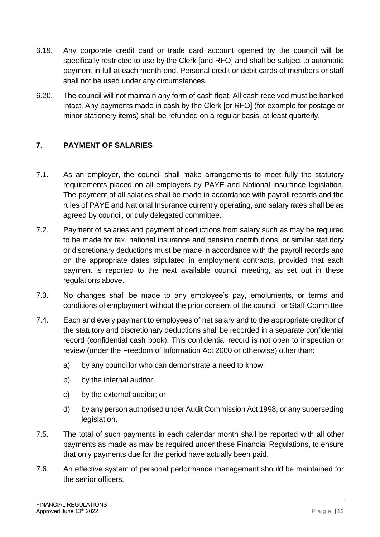- 6.19. Any corporate credit card or trade card account opened by the council will be specifically restricted to use by the Clerk [and RFO] and shall be subject to automatic payment in full at each month-end. Personal credit or debit cards of members or staff shall not be used under any circumstances.
- 6.20. The council will not maintain any form of cash float. All cash received must be banked intact. Any payments made in cash by the Clerk [or RFO] (for example for postage or minor stationery items) shall be refunded on a regular basis, at least quarterly.

#### <span id="page-12-0"></span>**7. PAYMENT OF SALARIES**

- 7.1. As an employer, the council shall make arrangements to meet fully the statutory requirements placed on all employers by PAYE and National Insurance legislation. The payment of all salaries shall be made in accordance with payroll records and the rules of PAYE and National Insurance currently operating, and salary rates shall be as agreed by council, or duly delegated committee.
- 7.2. Payment of salaries and payment of deductions from salary such as may be required to be made for tax, national insurance and pension contributions, or similar statutory or discretionary deductions must be made in accordance with the payroll records and on the appropriate dates stipulated in employment contracts, provided that each payment is reported to the next available council meeting, as set out in these regulations above.
- 7.3. No changes shall be made to any employee's pay, emoluments, or terms and conditions of employment without the prior consent of the council, or Staff Committee
- 7.4. Each and every payment to employees of net salary and to the appropriate creditor of the statutory and discretionary deductions shall be recorded in a separate confidential record (confidential cash book). This confidential record is not open to inspection or review (under the Freedom of Information Act 2000 or otherwise) other than:
	- a) by any councillor who can demonstrate a need to know;
	- b) by the internal auditor;
	- c) by the external auditor; or
	- d) by any person authorised under Audit Commission Act 1998, or any superseding legislation.
- 7.5. The total of such payments in each calendar month shall be reported with all other payments as made as may be required under these Financial Regulations, to ensure that only payments due for the period have actually been paid.
- 7.6. An effective system of personal performance management should be maintained for the senior officers.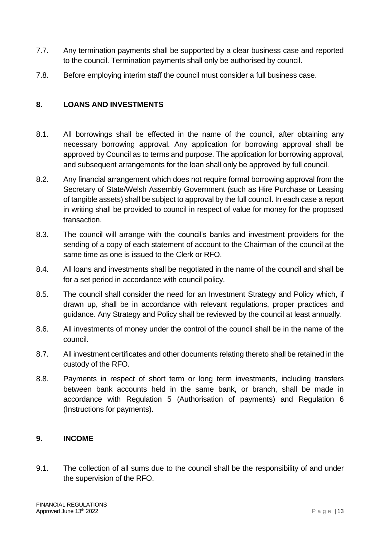- 7.7. Any termination payments shall be supported by a clear business case and reported to the council. Termination payments shall only be authorised by council.
- 7.8. Before employing interim staff the council must consider a full business case.

#### <span id="page-13-0"></span>**8. LOANS AND INVESTMENTS**

- 8.1. All borrowings shall be effected in the name of the council, after obtaining any necessary borrowing approval. Any application for borrowing approval shall be approved by Council as to terms and purpose. The application for borrowing approval, and subsequent arrangements for the loan shall only be approved by full council.
- 8.2. Any financial arrangement which does not require formal borrowing approval from the Secretary of State/Welsh Assembly Government (such as Hire Purchase or Leasing of tangible assets) shall be subject to approval by the full council. In each case a report in writing shall be provided to council in respect of value for money for the proposed transaction.
- 8.3. The council will arrange with the council's banks and investment providers for the sending of a copy of each statement of account to the Chairman of the council at the same time as one is issued to the Clerk or RFO.
- 8.4. All loans and investments shall be negotiated in the name of the council and shall be for a set period in accordance with council policy.
- 8.5. The council shall consider the need for an Investment Strategy and Policy which, if drawn up, shall be in accordance with relevant regulations, proper practices and guidance. Any Strategy and Policy shall be reviewed by the council at least annually.
- 8.6. All investments of money under the control of the council shall be in the name of the council.
- 8.7. All investment certificates and other documents relating thereto shall be retained in the custody of the RFO.
- 8.8. Payments in respect of short term or long term investments, including transfers between bank accounts held in the same bank, or branch, shall be made in accordance with Regulation 5 (Authorisation of payments) and Regulation 6 (Instructions for payments).

#### <span id="page-13-1"></span>**9. INCOME**

9.1. The collection of all sums due to the council shall be the responsibility of and under the supervision of the RFO.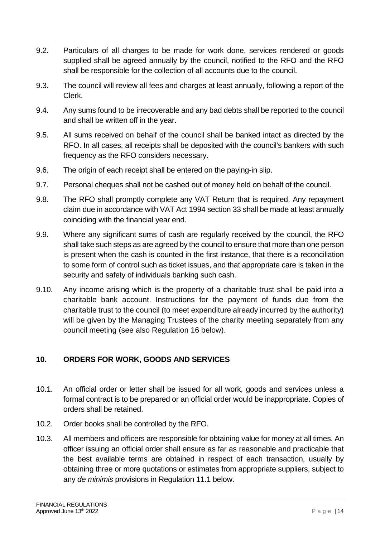- 9.2. Particulars of all charges to be made for work done, services rendered or goods supplied shall be agreed annually by the council, notified to the RFO and the RFO shall be responsible for the collection of all accounts due to the council.
- 9.3. The council will review all fees and charges at least annually, following a report of the Clerk.
- 9.4. Any sums found to be irrecoverable and any bad debts shall be reported to the council and shall be written off in the year.
- 9.5. All sums received on behalf of the council shall be banked intact as directed by the RFO. In all cases, all receipts shall be deposited with the council's bankers with such frequency as the RFO considers necessary.
- 9.6. The origin of each receipt shall be entered on the paying-in slip.
- 9.7. Personal cheques shall not be cashed out of money held on behalf of the council.
- 9.8. The RFO shall promptly complete any VAT Return that is required. Any repayment claim due in accordance with VAT Act 1994 section 33 shall be made at least annually coinciding with the financial year end.
- 9.9. Where any significant sums of cash are regularly received by the council, the RFO shall take such steps as are agreed by the council to ensure that more than one person is present when the cash is counted in the first instance, that there is a reconciliation to some form of control such as ticket issues, and that appropriate care is taken in the security and safety of individuals banking such cash.
- 9.10. Any income arising which is the property of a charitable trust shall be paid into a charitable bank account. Instructions for the payment of funds due from the charitable trust to the council (to meet expenditure already incurred by the authority) will be given by the Managing Trustees of the charity meeting separately from any council meeting (see also Regulation 16 below).

### <span id="page-14-0"></span>**10. ORDERS FOR WORK, GOODS AND SERVICES**

- 10.1. An official order or letter shall be issued for all work, goods and services unless a formal contract is to be prepared or an official order would be inappropriate. Copies of orders shall be retained.
- 10.2. Order books shall be controlled by the RFO.
- 10.3. All members and officers are responsible for obtaining value for money at all times. An officer issuing an official order shall ensure as far as reasonable and practicable that the best available terms are obtained in respect of each transaction, usually by obtaining three or more quotations or estimates from appropriate suppliers, subject to any *de minimis* provisions in Regulation 11.1 below.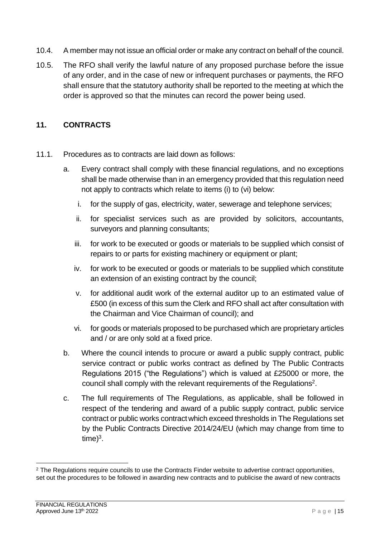- 10.4. A member may not issue an official order or make any contract on behalf of the council.
- 10.5. The RFO shall verify the lawful nature of any proposed purchase before the issue of any order, and in the case of new or infrequent purchases or payments, the RFO shall ensure that the statutory authority shall be reported to the meeting at which the order is approved so that the minutes can record the power being used.

#### <span id="page-15-0"></span>**11. CONTRACTS**

- 11.1. Procedures as to contracts are laid down as follows:
	- a. Every contract shall comply with these financial regulations, and no exceptions shall be made otherwise than in an emergency provided that this regulation need not apply to contracts which relate to items (i) to (vi) below:
		- i. for the supply of gas, electricity, water, sewerage and telephone services;
		- ii. for specialist services such as are provided by solicitors, accountants, surveyors and planning consultants;
		- iii. for work to be executed or goods or materials to be supplied which consist of repairs to or parts for existing machinery or equipment or plant;
		- iv. for work to be executed or goods or materials to be supplied which constitute an extension of an existing contract by the council;
		- v. for additional audit work of the external auditor up to an estimated value of £500 (in excess of this sum the Clerk and RFO shall act after consultation with the Chairman and Vice Chairman of council); and
		- vi. for goods or materials proposed to be purchased which are proprietary articles and / or are only sold at a fixed price.
	- b. Where the council intends to procure or award a public supply contract, public service contract or public works contract as defined by The Public Contracts Regulations 2015 ("the Regulations") which is valued at £25000 or more, the council shall comply with the relevant requirements of the Regulations<sup>2</sup>.
	- c. The full requirements of The Regulations, as applicable, shall be followed in respect of the tendering and award of a public supply contract, public service contract or public works contractwhich exceed thresholds in The Regulations set by the Public Contracts Directive 2014/24/EU (which may change from time to  $time)^3$ .

<sup>&</sup>lt;sup>2</sup> The Regulations require councils to use the Contracts Finder website to advertise contract opportunities, set out the procedures to be followed in awarding new contracts and to publicise the award of new contracts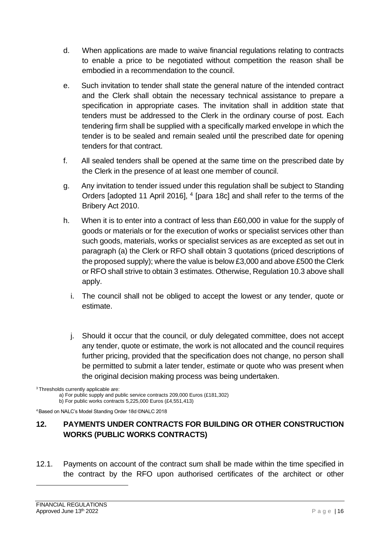- d. When applications are made to waive financial regulations relating to contracts to enable a price to be negotiated without competition the reason shall be embodied in a recommendation to the council.
- e. Such invitation to tender shall state the general nature of the intended contract and the Clerk shall obtain the necessary technical assistance to prepare a specification in appropriate cases. The invitation shall in addition state that tenders must be addressed to the Clerk in the ordinary course of post. Each tendering firm shall be supplied with a specifically marked envelope in which the tender is to be sealed and remain sealed until the prescribed date for opening tenders for that contract.
- f. All sealed tenders shall be opened at the same time on the prescribed date by the Clerk in the presence of at least one member of council.
- g. Any invitation to tender issued under this regulation shall be subject to Standing Orders [adopted 11 April 2016], <sup>4</sup> [para 18c] and shall refer to the terms of the Bribery Act 2010.
- h. When it is to enter into a contract of less than £60,000 in value for the supply of goods or materials or for the execution of works or specialist services other than such goods, materials, works or specialist services as are excepted as set out in paragraph (a) the Clerk or RFO shall obtain 3 quotations (priced descriptions of the proposed supply); where the value is below £3,000 and above £500 the Clerk or RFO shall strive to obtain 3 estimates. Otherwise, Regulation 10.3 above shall apply.
	- i. The council shall not be obliged to accept the lowest or any tender, quote or estimate.
	- j. Should it occur that the council, or duly delegated committee, does not accept any tender, quote or estimate, the work is not allocated and the council requires further pricing, provided that the specification does not change, no person shall be permitted to submit a later tender, estimate or quote who was present when the original decision making process was being undertaken.

a) For public supply and public service contracts 209,000 Euros (£181,302)

b) For public works contracts 5,225,000 Euros (£4,551,413)

<sup>4</sup>Based on NALC's Model Standing Order 18d ©NALC 2018

#### <span id="page-16-0"></span>**12. PAYMENTS UNDER CONTRACTS FOR BUILDING OR OTHER CONSTRUCTION WORKS (PUBLIC WORKS CONTRACTS)**

12.1. Payments on account of the contract sum shall be made within the time specified in the contract by the RFO upon authorised certificates of the architect or other

<sup>&</sup>lt;sup>3</sup>Thresholds currently applicable are: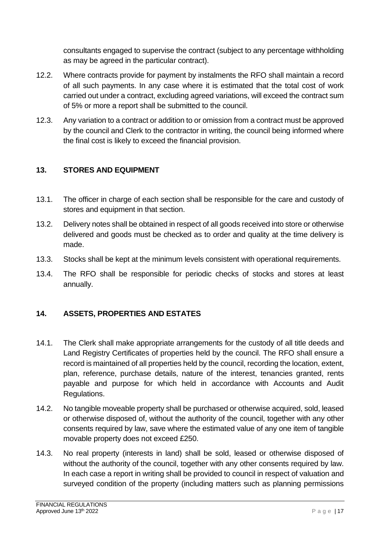consultants engaged to supervise the contract (subject to any percentage withholding as may be agreed in the particular contract).

- 12.2. Where contracts provide for payment by instalments the RFO shall maintain a record of all such payments. In any case where it is estimated that the total cost of work carried out under a contract, excluding agreed variations, will exceed the contract sum of 5% or more a report shall be submitted to the council.
- 12.3. Any variation to a contract or addition to or omission from a contract must be approved by the council and Clerk to the contractor in writing, the council being informed where the final cost is likely to exceed the financial provision.

#### <span id="page-17-0"></span>**13. STORES AND EQUIPMENT**

- 13.1. The officer in charge of each section shall be responsible for the care and custody of stores and equipment in that section.
- 13.2. Delivery notes shall be obtained in respect of all goods received into store or otherwise delivered and goods must be checked as to order and quality at the time delivery is made.
- 13.3. Stocks shall be kept at the minimum levels consistent with operational requirements.
- 13.4. The RFO shall be responsible for periodic checks of stocks and stores at least annually.

#### <span id="page-17-1"></span>**14. ASSETS, PROPERTIES AND ESTATES**

- 14.1. The Clerk shall make appropriate arrangements for the custody of all title deeds and Land Registry Certificates of properties held by the council. The RFO shall ensure a record is maintained of all properties held by the council, recording the location, extent, plan, reference, purchase details, nature of the interest, tenancies granted, rents payable and purpose for which held in accordance with Accounts and Audit Regulations.
- 14.2. No tangible moveable property shall be purchased or otherwise acquired, sold, leased or otherwise disposed of, without the authority of the council, together with any other consents required by law, save where the estimated value of any one item of tangible movable property does not exceed £250.
- 14.3. No real property (interests in land) shall be sold, leased or otherwise disposed of without the authority of the council, together with any other consents required by law. In each case a report in writing shall be provided to council in respect of valuation and surveyed condition of the property (including matters such as planning permissions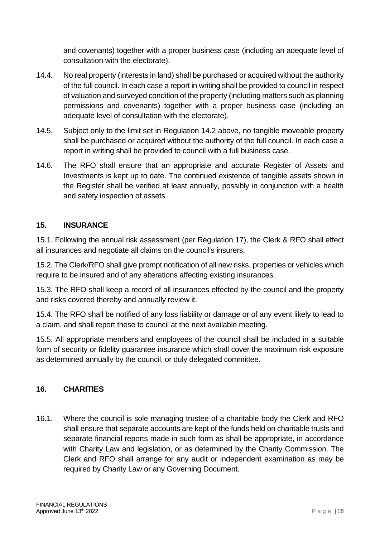and covenants) together with a proper business case (including an adequate level of consultation with the electorate).

- 14.4. No real property (interests in land) shall be purchased or acquired without the authority of the full council. In each case a report in writing shall be provided to council in respect of valuation and surveyed condition of the property (including matters such as planning permissions and covenants) together with a proper business case (including an adequate level of consultation with the electorate).
- 14.5. Subject only to the limit set in Regulation 14.2 above, no tangible moveable property shall be purchased or acquired without the authority of the full council. In each case a report in writing shall be provided to council with a full business case.
- 14.6. The RFO shall ensure that an appropriate and accurate Register of Assets and Investments is kept up to date. The continued existence of tangible assets shown in the Register shall be verified at least annually, possibly in conjunction with a health and safety inspection of assets.

#### <span id="page-18-0"></span>**15. INSURANCE**

15.1. Following the annual risk assessment (per Regulation 17), the Clerk & RFO shall effect all insurances and negotiate all claims on the council's insurers.

15.2. The Clerk/RFO shall give prompt notification of all new risks, properties or vehicles which require to be insured and of any alterations affecting existing insurances.

15.3. The RFO shall keep a record of all insurances effected by the council and the property and risks covered thereby and annually review it.

15.4. The RFO shall be notified of any loss liability or damage or of any event likely to lead to a claim, and shall report these to council at the next available meeting.

15.5. All appropriate members and employees of the council shall be included in a suitable form of security or fidelity guarantee insurance which shall cover the maximum risk exposure as determined annually by the council, or duly delegated committee.

### <span id="page-18-1"></span>**16. CHARITIES**

16.1. Where the council is sole managing trustee of a charitable body the Clerk and RFO shall ensure that separate accounts are kept of the funds held on charitable trusts and separate financial reports made in such form as shall be appropriate, in accordance with Charity Law and legislation, or as determined by the Charity Commission. The Clerk and RFO shall arrange for any audit or independent examination as may be required by Charity Law or any Governing Document.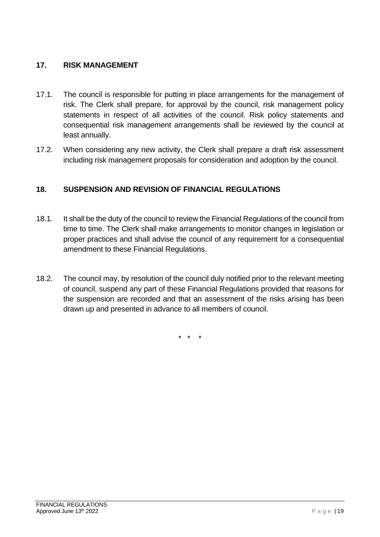#### <span id="page-19-0"></span>**17. RISK MANAGEMENT**

- 17.1. The council is responsible for putting in place arrangements for the management of risk. The Clerk shall prepare, for approval by the council, risk management policy statements in respect of all activities of the council. Risk policy statements and consequential risk management arrangements shall be reviewed by the council at least annually.
- 17.2. When considering any new activity, the Clerk shall prepare a draft risk assessment including risk management proposals for consideration and adoption by the council.

#### <span id="page-19-1"></span>**18. SUSPENSION AND REVISION OF FINANCIAL REGULATIONS**

- 18.1. It shall be the duty of the council to review the Financial Regulations of the council from time to time. The Clerk shall make arrangements to monitor changes in legislation or proper practices and shall advise the council of any requirement for a consequential amendment to these Financial Regulations.
- 18.2. The council may, by resolution of the council duly notified prior to the relevant meeting of council, suspend any part of these Financial Regulations provided that reasons for the suspension are recorded and that an assessment of the risks arising has been drawn up and presented in advance to all members of council.

\* \* \*